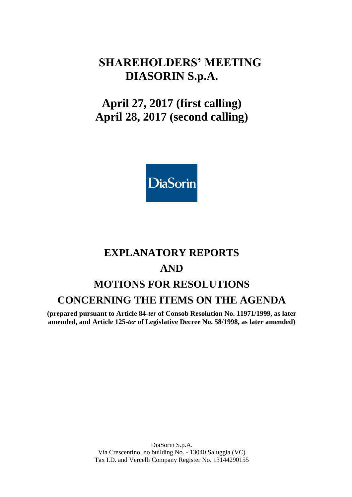## **SHAREHOLDERS' MEETING DIASORIN S.p.A.**

# **April 27, 2017 (first calling) April 28, 2017 (second calling)**



# **EXPLANATORY REPORTS AND MOTIONS FOR RESOLUTIONS CONCERNING THE ITEMS ON THE AGENDA**

**(prepared pursuant to Article 84-***ter* **of Consob Resolution No. 11971/1999, as later amended, and Article 125-***ter* **of Legislative Decree No. 58/1998, as later amended)**

> DiaSorin S.p.A. Via Crescentino, no building No. - 13040 Saluggia (VC) Tax I.D. and Vercelli Company Register No. 13144290155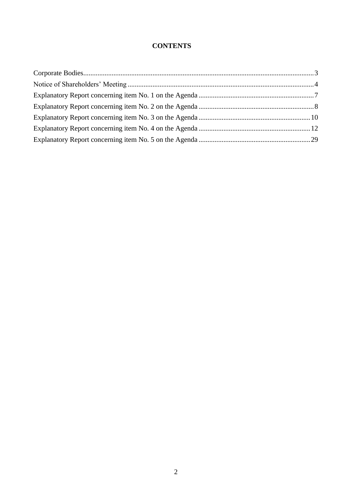## **CONTENTS**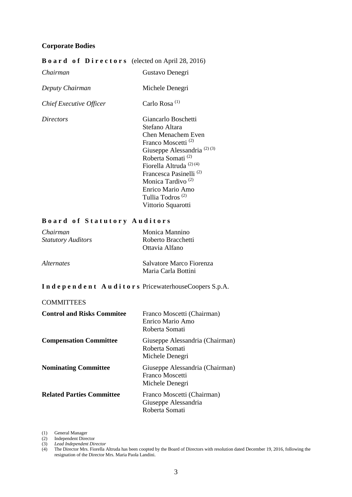#### <span id="page-2-0"></span>**Corporate Bodies**

#### **B o a r d o f D i r e c t o r s** (elected on April 28, 2016)

| Chairman                | Gustavo Denegri                        |
|-------------------------|----------------------------------------|
| Deputy Chairman         | Michele Denegri                        |
| Chief Executive Officer | Carlo Rosa <sup>(1)</sup>              |
| <i>Directors</i>        | Giancarlo Boschetti                    |
|                         | Stefano Altara                         |
|                         | Chen Menachem Even                     |
|                         | Franco Moscetti <sup>(2)</sup>         |
|                         | Giuseppe Alessandria <sup>(2)(3)</sup> |
|                         | Roberta Somati <sup>(2)</sup>          |
|                         | Fiorella Altruda <sup>(2)(4)</sup>     |
|                         | Francesca Pasinelli <sup>(2)</sup>     |
|                         | Monica Tardivo <sup>(2)</sup>          |
|                         | Enrico Mario Amo                       |
|                         | Tullia Todros <sup>(2)</sup>           |
|                         | Vittorio Squarotti                     |

#### **B o a r d o f S t a t u t o r y A u d i t o r s**

| Chairman<br><b>Statutory Auditors</b> | Monica Mannino<br>Roberto Bracchetti<br>Ottavia Alfano |
|---------------------------------------|--------------------------------------------------------|
| <i>Alternates</i>                     | Salvatore Marco Fiorenza<br>Maria Carla Bottini        |

#### **I n d e p e n d e n t A u d i t o r s** PricewaterhouseCoopers S.p.A.

#### **COMMITTEES**

| <b>Control and Risks Commitee</b> | Franco Moscetti (Chairman)<br>Enrico Mario Amo<br>Roberta Somati      |
|-----------------------------------|-----------------------------------------------------------------------|
| <b>Compensation Committee</b>     | Giuseppe Alessandria (Chairman)<br>Roberta Somati<br>Michele Denegri  |
| <b>Nominating Committee</b>       | Giuseppe Alessandria (Chairman)<br>Franco Moscetti<br>Michele Denegri |
| <b>Related Parties Committee</b>  | Franco Moscetti (Chairman)<br>Giuseppe Alessandria<br>Roberta Somati  |

(1) General Manager

(2) Independent Director

(3) *Lead Independent Director*

<sup>(4)</sup> The Director Mrs. Fiorella Altruda has been coopted by the Board of Directors with resolution dated December 19, 2016, following the resignation of the Director Mrs. Maria Paola Landini.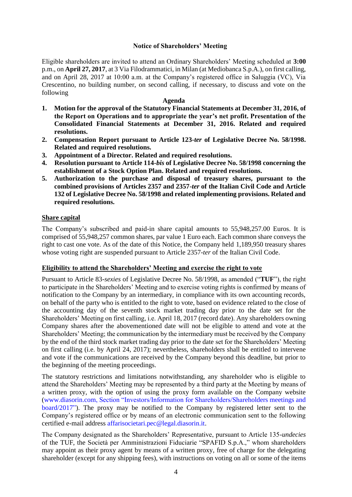#### **Notice of Shareholders' Meeting**

<span id="page-3-0"></span>Eligible shareholders are invited to attend an Ordinary Shareholders' Meeting scheduled at **3:00** p.m., on **April 27, 2017**, at 3 Via Filodrammatici, in Milan (at Mediobanca S.p.A.), on first calling, and on April 28, 2017 at 10:00 a.m. at the Company's registered office in Saluggia (VC), Via Crescentino, no building number, on second calling, if necessary, to discuss and vote on the following

#### **Agenda**

- **1. Motion for the approval of the Statutory Financial Statements at December 31, 2016, of the Report on Operations and to appropriate the year's net profit. Presentation of the Consolidated Financial Statements at December 31, 2016. Related and required resolutions.**
- **2. Compensation Report pursuant to Article 123-***ter* **of Legislative Decree No. 58/1998. Related and required resolutions.**
- **3. Appointment of a Director. Related and required resolutions.**
- **4. Resolution pursuant to Article 114-***bis* **of Legislative Decree No. 58/1998 concerning the establishment of a Stock Option Plan. Related and required resolutions.**
- **5. Authorization to the purchase and disposal of treasury shares, pursuant to the combined provisions of Articles 2357 and 2357-***ter* **of the Italian Civil Code and Article 132 of Legislative Decree No. 58/1998 and related implementing provisions. Related and required resolutions.**

#### **Share capital**

The Company's subscribed and paid-in share capital amounts to 55,948,257.00 Euros. It is comprised of 55,948,257 common shares, par value 1 Euro each. Each common share conveys the right to cast one vote. As of the date of this Notice, the Company held 1,189,950 treasury shares whose voting right are suspended pursuant to Article 2357-*ter* of the Italian Civil Code.

#### **Eligibility to attend the Shareholders' Meeting and exercise the right to vote**

Pursuant to Article 83-*sexies* of Legislative Decree No. 58/1998, as amended ("**TUF**"), the right to participate in the Shareholders' Meeting and to exercise voting rights is confirmed by means of notification to the Company by an intermediary, in compliance with its own accounting records, on behalf of the party who is entitled to the right to vote, based on evidence related to the close of the accounting day of the seventh stock market trading day prior to the date set for the Shareholders' Meeting on first calling, i.e. April 18, 2017 (record date). Any shareholders owning Company shares after the abovementioned date will not be eligible to attend and vote at the Shareholders' Meeting; the communication by the intermediary must be received by the Company by the end of the third stock market trading day prior to the date set for the Shareholders' Meeting on first calling (i.e. by April 24, 2017); nevertheless, shareholders shall be entitled to intervene and vote if the communications are received by the Company beyond this deadline, but prior to the beginning of the meeting proceedings.

The statutory restrictions and limitations notwithstanding, any shareholder who is eligible to attend the Shareholders' Meeting may be represented by a third party at the Meeting by means of a written proxy, with the option of using the proxy form available on the Company website [\(www.diasorin.com,](http://www.diasorin.com/) Section "Investors/Information for Shareholders/Shareholders meetings and board/2017"). The proxy may be notified to the Company by registered letter sent to the Company's registered office or by means of an electronic communication sent to the following certified e-mail address affarisocietari.pec@legal.diasorin.it.

The Company designated as the Shareholders' Representative, pursuant to Article 135-*undecies* of the TUF, the Società per Amministrazioni Fiduciarie "SPAFID S.p.A.," whom shareholders may appoint as their proxy agent by means of a written proxy, free of charge for the delegating shareholder (except for any shipping fees), with instructions on voting on all or some of the items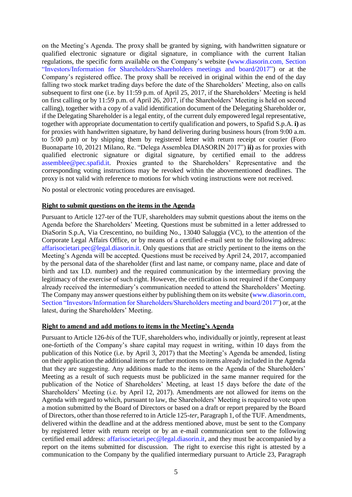on the Meeting's Agenda. The proxy shall be granted by signing, with handwritten signature or qualified electronic signature or digital signature, in compliance with the current Italian regulations, the specific form available on the Company's website [\(www.diasorin.com,](http://www.diasorin.com/) Section "Investors/Information for Shareholders/Shareholders meetings and board/2017") or at the Company's registered office. The proxy shall be received in original within the end of the day falling two stock market trading days before the date of the Shareholders' Meeting, also on calls subsequent to first one (i.e. by 11:59 p.m. of April 25, 2017, if the Shareholders' Meeting is held on first calling or by 11:59 p.m. of April 26, 2017, if the Shareholders' Meeting is held on second calling), together with a copy of a valid identification document of the Delegating Shareholder or, if the Delegating Shareholder is a legal entity, of the current duly empowered legal representative, together with appropriate documentation to certify qualification and powers, to Spafid S.p.A. **i)** as for proxies with handwritten signature, by hand delivering during business hours (from 9:00 a.m. to 5:00 p.m) or by shipping them by registered letter with return receipt or courier (Foro Buonaparte 10, 20121 Milano, Re. "Delega Assemblea DIASORIN 2017") **ii)** as for proxies with qualified electronic signature or digital signature, by certified email to the address assemblee@pec.spafid.it. Proxies granted to the Shareholders' Representative and the corresponding voting instructions may be revoked within the abovementioned deadlines. The proxy is not valid with reference to motions for which voting instructions were not received.

No postal or electronic voting procedures are envisaged.

#### **Right to submit questions on the items in the Agenda**

Pursuant to Article 127-ter of the TUF, shareholders may submit questions about the items on the Agenda before the Shareholders' Meeting. Questions must be submitted in a letter addressed to DiaSorin S.p.A, Via Crescentino, no building No., 13040 Saluggia (VC), to the attention of the Corporate Legal Affairs Office, or by means of a certified e-mail sent to the following address: [affarisocietari.pec@legal.diasorin.it.](mailto:affarisocietari@diasorin.it) Only questions that are strictly pertinent to the items on the Meeting's Agenda will be accepted. Questions must be received by April 24, 2017, accompanied by the personal data of the shareholder (first and last name, or company name, place and date of birth and tax I.D. number) and the required communication by the intermediary proving the legitimacy of the exercise of such right. However, the certification is not required if the Company already received the intermediary's communication needed to attend the Shareholders' Meeting. The Company may answer questions either by publishing them on its website [\(www.diasorin.com,](http://www.diasorin.com/) Section "Investors/Information for Shareholders/Shareholders meeting and board/2017") or, at the latest, during the Shareholders' Meeting.

#### **Right to amend and add motions to items in the Meeting's Agenda**

Pursuant to Article 126-*bis* of the TUF, shareholders who, individually or jointly, represent at least one-fortieth of the Company's share capital may request in writing, within 10 days from the publication of this Notice (i.e. by April 3, 2017) that the Meeting's Agenda be amended, listing on their application the additional items or further motions to items already included in the Agenda that they are suggesting. Any additions made to the items on the Agenda of the Shareholders' Meeting as a result of such requests must be publicized in the same manner required for the publication of the Notice of Shareholders' Meeting, at least 15 days before the date of the Shareholders' Meeting (i.e. by April 12, 2017). Amendments are not allowed for items on the Agenda with regard to which, pursuant to law, the Shareholders' Meeting is required to vote upon a motion submitted by the Board of Directors or based on a draft or report prepared by the Board of Directors, other than those referred to in Article 125-*ter*, Paragraph 1, of the TUF. Amendments, delivered within the deadline and at the address mentioned above, must be sent to the Company by registered letter with return receipt or by an e-mail communication sent to the following certified email address: [affarisocietari.pec@legal.diasorin.it,](mailto:affarisocietari@diasorin.it) and they must be accompanied by a report on the items submitted for discussion. The right to exercise this right is attested by a communication to the Company by the qualified intermediary pursuant to Article 23, Paragraph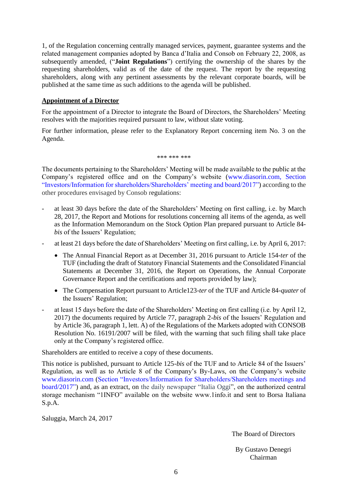1, of the Regulation concerning centrally managed services, payment, guarantee systems and the related management companies adopted by Banca d'Italia and Consob on February 22, 2008, as subsequently amended, ("**Joint Regulations**") certifying the ownership of the shares by the requesting shareholders, valid as of the date of the request. The report by the requesting shareholders, along with any pertinent assessments by the relevant corporate boards, will be published at the same time as such additions to the agenda will be published.

#### **Appointment of a Director**

For the appointment of a Director to integrate the Board of Directors, the Shareholders' Meeting resolves with the majorities required pursuant to law, without slate voting.

For further information, please refer to the Explanatory Report concerning item No. 3 on the Agenda.

\*\*\* \*\*\* \*\*\*

The documents pertaining to the Shareholders' Meeting will be made available to the public at the Company's registered office and on the Company's website (www.diasorin.com, Section "Investors/Information for shareholders/Shareholders' meeting and board/2017") according to the other procedures envisaged by Consob regulations:

- at least 30 days before the date of the Shareholders' Meeting on first calling, i.e. by March 28, 2017, the Report and Motions for resolutions concerning all items of the agenda, as well as the Information Memorandum on the Stock Option Plan prepared pursuant to Article 84 *bis* of the Issuers' Regulation;
- at least 21 days before the date of Shareholders' Meeting on first calling, i.e. by April 6, 2017:
	- The Annual Financial Report as at December 31, 2016 pursuant to Article 154-*ter* of the TUF (including the draft of Statutory Financial Statements and the Consolidated Financial Statements at December 31, 2016, the Report on Operations, the Annual Corporate Governance Report and the certifications and reports provided by law);
	- The Compensation Report pursuant to Article123-*ter* of the TUF and Article 84-*quater* of the Issuers' Regulation;
- at least 15 days before the date of the Shareholders' Meeting on first calling (i.e. by April 12, 2017) the documents required by Article 77, paragraph 2-*bis* of the Issuers' Regulation and by Article 36, paragraph 1, lett. A) of the Regulations of the Markets adopted with CONSOB Resolution No. 16191/2007 will be filed, with the warning that such filing shall take place only at the Company's registered office.

Shareholders are entitled to receive a copy of these documents.

This notice is published, pursuant to Article 125-*bis* of the TUF and to Article 84 of the Issuers' Regulation, as well as to Article 8 of the Company's By-Laws, on the Company's website www.diasorin.com (Section "Investors/Information for Shareholders/Shareholders meetings and board/2017") and, as an extract, on the daily newspaper "Italia Oggi", on the authorized central storage mechanism "1INFO" available on the website www.1info.it and sent to Borsa Italiana S.p.A.

Saluggia, March 24, 2017

The Board of Directors

By Gustavo Denegri Chairman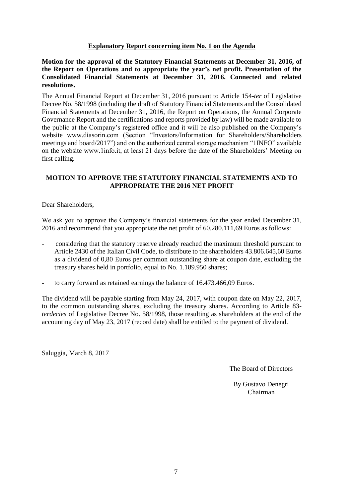#### **Explanatory Report concerning item No. 1 on the Agenda**

<span id="page-6-0"></span>**Motion for the approval of the Statutory Financial Statements at December 31, 2016, of the Report on Operations and to appropriate the year's net profit. Presentation of the Consolidated Financial Statements at December 31, 2016. Connected and related resolutions.**

The Annual Financial Report at December 31, 2016 pursuant to Article 154-*ter* of Legislative Decree No. 58/1998 (including the draft of Statutory Financial Statements and the Consolidated Financial Statements at December 31, 2016, the Report on Operations, the Annual Corporate Governance Report and the certifications and reports provided by law) will be made available to the public at the Company's registered office and it will be also published on the Company's website www.diasorin.com (Section "Investors[/Information for Shareholders/](http://www.diasorin.com/en/investors/total-shareholders-basis)Shareholders meetings and board/2017") and on the authorized central storage mechanism "1INFO" available on the website www.1info.it, at least 21 days before the date of the Shareholders' Meeting on first calling.

#### **MOTION TO APPROVE THE STATUTORY FINANCIAL STATEMENTS AND TO APPROPRIATE THE 2016 NET PROFIT**

Dear Shareholders,

We ask you to approve the Company's financial statements for the year ended December 31, 2016 and recommend that you appropriate the net profit of 60.280.111,69 Euros as follows:

- considering that the statutory reserve already reached the maximum threshold pursuant to Article 2430 of the Italian Civil Code, to distribute to the shareholders 43.806.645,60 Euros as a dividend of 0,80 Euros per common outstanding share at coupon date, excluding the treasury shares held in portfolio, equal to No. 1.189.950 shares;
- to carry forward as retained earnings the balance of 16.473.466,09 Euros.

The dividend will be payable starting from May 24, 2017, with coupon date on May 22, 2017, to the common outstanding shares, excluding the treasury shares. According to Article 83 *terdecies* of Legislative Decree No. 58/1998, those resulting as shareholders at the end of the accounting day of May 23, 2017 (record date) shall be entitled to the payment of dividend.

Saluggia, March 8, 2017

The Board of Directors

By Gustavo Denegri Chairman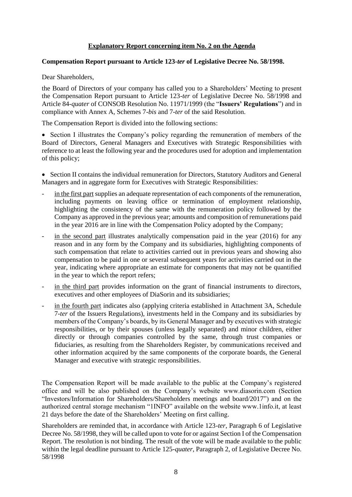#### **Explanatory Report concerning item No. 2 on the Agenda**

#### <span id="page-7-0"></span>**Compensation Report pursuant to Article 123-***ter* **of Legislative Decree No. 58/1998.**

Dear Shareholders,

the Board of Directors of your company has called you to a Shareholders' Meeting to present the Compensation Report pursuant to Article 123-*ter* of Legislative Decree No. 58/1998 and Article 84-*quater* of CONSOB Resolution No. 11971/1999 (the "**Issuers' Regulations**") and in compliance with Annex A, Schemes 7-*bis* and 7-*ter* of the said Resolution.

The Compensation Report is divided into the following sections:

 Section I illustrates the Company's policy regarding the remuneration of members of the Board of Directors, General Managers and Executives with Strategic Responsibilities with reference to at least the following year and the procedures used for adoption and implementation of this policy;

 Section II contains the individual remuneration for Directors, Statutory Auditors and General Managers and in aggregate form for Executives with Strategic Responsibilities:

- in the first part supplies an adequate representation of each components of the remuneration, including payments on leaving office or termination of employment relationship, highlighting the consistency of the same with the remuneration policy followed by the Company as approved in the previous year; amounts and composition of remunerations paid in the year 2016 are in line with the Compensation Policy adopted by the Company;
- in the second part illustrates analytically compensation paid in the year  $(2016)$  for any reason and in any form by the Company and its subsidiaries, highlighting components of such compensation that relate to activities carried out in previous years and showing also compensation to be paid in one or several subsequent years for activities carried out in the year, indicating where appropriate an estimate for components that may not be quantified in the year to which the report refers;
- in the third part provides information on the grant of financial instruments to directors, executives and other employees of DiaSorin and its subsidiaries;
- in the fourth part indicates also (applying criteria established in Attachment 3A, Schedule 7-*ter* of the Issuers Regulations), investments held in the Company and its subsidiaries by members of the Company's boards, by its General Manager and by executives with strategic responsibilities, or by their spouses (unless legally separated) and minor children, either directly or through companies controlled by the same, through trust companies or fiduciaries, as resulting from the Shareholders Register, by communications received and other information acquired by the same components of the corporate boards, the General Manager and executive with strategic responsibilities.

The Compensation Report will be made available to the public at the Company's registered office and will be also published on the Company's website www.diasorin.com (Section "Investors[/Information for Shareholders/](http://www.diasorin.com/en/investors/total-shareholders-basis)Shareholders meetings and board/2017") and on the authorized central storage mechanism "1INFO" available on the website www.1info.it, at least 21 days before the date of the Shareholders' Meeting on first calling.

Shareholders are reminded that, in accordance with Article 123-*ter*, Paragraph 6 of Legislative Decree No. 58/1998, they will be called upon to vote for or against Section I of the Compensation Report. The resolution is not binding. The result of the vote will be made available to the public within the legal deadline pursuant to Article 125-*quater*, Paragraph 2, of Legislative Decree No. 58/1998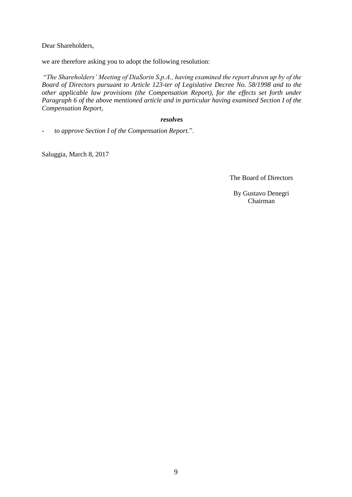Dear Shareholders,

we are therefore asking you to adopt the following resolution:

"*The Shareholders' Meeting of DiaSorin S.p.A., having examined the report drawn up by of the Board of Directors pursuant to Article 123-ter of Legislative Decree No. 58/1998 and to the other applicable law provisions (the Compensation Report), for the effects set forth under Paragraph 6 of the above mentioned article and in particular having examined Section I of the Compensation Report,*

#### *resolves*

*- to approve Section I of the Compensation Report.*".

Saluggia, March 8, 2017

The Board of Directors

By Gustavo Denegri Chairman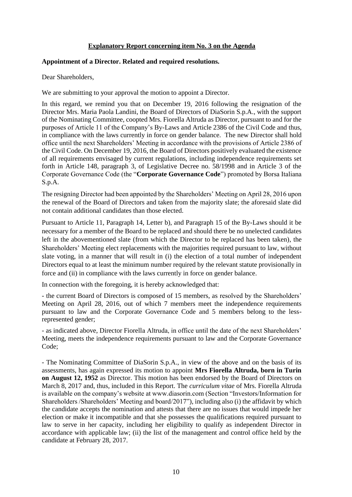#### **Explanatory Report concerning item No. 3 on the Agenda**

#### <span id="page-9-0"></span>**Appointment of a Director. Related and required resolutions.**

Dear Shareholders,

We are submitting to your approval the motion to appoint a Director.

In this regard, we remind you that on December 19, 2016 following the resignation of the Director Mrs. Maria Paola Landini, the Board of Directors of DiaSorin S.p.A., with the support of the Nominating Committee, coopted Mrs. Fiorella Altruda as Director, pursuant to and for the purposes of Article 11 of the Company's By-Laws and Article 2386 of the Civil Code and thus, in compliance with the laws currently in force on gender balance. The new Director shall hold office until the next Shareholders' Meeting in accordance with the provisions of Article 2386 of the Civil Code. On December 19, 2016, the Board of Directors positively evaluated the existence of all requirements envisaged by current regulations, including independence requirements set forth in Article 148, paragraph 3, of Legislative Decree no. 58/1998 and in Article 3 of the Corporate Governance Code (the "**Corporate Governance Code**") promoted by Borsa Italiana S.p.A.

The resigning Director had been appointed by the Shareholders' Meeting on April 28, 2016 upon the renewal of the Board of Directors and taken from the majority slate; the aforesaid slate did not contain additional candidates than those elected.

Pursuant to Article 11, Paragraph 14, Letter b), and Paragraph 15 of the By-Laws should it be necessary for a member of the Board to be replaced and should there be no unelected candidates left in the abovementioned slate (from which the Director to be replaced has been taken), the Shareholders' Meeting elect replacements with the majorities required pursuant to law, without slate voting, in a manner that will result in (i) the election of a total number of independent Directors equal to at least the minimum number required by the relevant statute provisionally in force and (ii) in compliance with the laws currently in force on gender balance.

In connection with the foregoing, it is hereby acknowledged that:

- the current Board of Directors is composed of 15 members, as resolved by the Shareholders' Meeting on April 28, 2016, out of which 7 members meet the independence requirements pursuant to law and the Corporate Governance Code and 5 members belong to the lessrepresented gender;

- as indicated above, Director Fiorella Altruda, in office until the date of the next Shareholders' Meeting, meets the independence requirements pursuant to law and the Corporate Governance Code;

- The Nominating Committee of DiaSorin S.p.A., in view of the above and on the basis of its assessments, has again expressed its motion to appoint **Mrs Fiorella Altruda, born in Turin on August 12, 1952** as Director. This motion has been endorsed by the Board of Directors on March 8, 2017 and, thus, included in this Report. The *curriculum vitae* of Mrs. Fiorella Altruda is available on the company's website at www.diasorin.com (Section "Investors/Information for Shareholders /Shareholders' Meeting and board/2017"), including also (i) the affidavit by which the candidate accepts the nomination and attests that there are no issues that would impede her election or make it incompatible and that she possesses the qualifications required pursuant to law to serve in her capacity, including her eligibility to qualify as independent Director in accordance with applicable law; (ii) the list of the management and control office held by the candidate at February 28, 2017.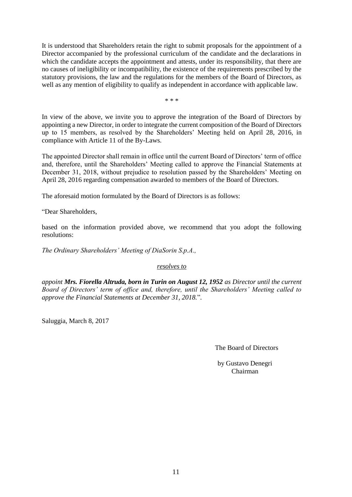It is understood that Shareholders retain the right to submit proposals for the appointment of a Director accompanied by the professional curriculum of the candidate and the declarations in which the candidate accepts the appointment and attests, under its responsibility, that there are no causes of ineligibility or incompatibility, the existence of the requirements prescribed by the statutory provisions, the law and the regulations for the members of the Board of Directors, as well as any mention of eligibility to qualify as independent in accordance with applicable law.

\* \* \*

In view of the above, we invite you to approve the integration of the Board of Directors by appointing a new Director, in order to integrate the current composition of the Board of Directors up to 15 members, as resolved by the Shareholders' Meeting held on April 28, 2016, in compliance with Article 11 of the By-Laws.

The appointed Director shall remain in office until the current Board of Directors' term of office and, therefore, until the Shareholders' Meeting called to approve the Financial Statements at December 31, 2018, without prejudice to resolution passed by the Shareholders' Meeting on April 28, 2016 regarding compensation awarded to members of the Board of Directors.

The aforesaid motion formulated by the Board of Directors is as follows:

"Dear Shareholders,

based on the information provided above, we recommend that you adopt the following resolutions:

*The Ordinary Shareholders' Meeting of DiaSorin S.p.A.,*

*resolves to*

*appoint Mrs. Fiorella Altruda, born in Turin on August 12, 1952 as Director until the current Board of Directors' term of office and, therefore, until the Shareholders' Meeting called to approve the Financial Statements at December 31, 2018.*"*.*

Saluggia, March 8, 2017

The Board of Directors

by Gustavo Denegri Chairman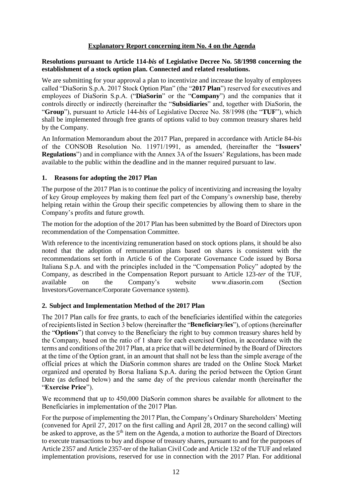#### **Explanatory Report concerning item No. 4 on the Agenda**

#### <span id="page-11-0"></span>**Resolutions pursuant to Article 114-***bis* **of Legislative Decree No. 58/1998 concerning the establishment of a stock option plan. Connected and related resolutions.**

We are submitting for your approval a plan to incentivize and increase the loyalty of employees called "DiaSorin S.p.A. 2017 Stock Option Plan" (the "**2017 Plan**") reserved for executives and employees of DiaSorin S.p.A. ("**DiaSorin**" or the "**Company**") and the companies that it controls directly or indirectly (hereinafter the "**Subsidiaries**" and, together with DiaSorin, the "**Group**"), pursuant to Article 144-*bis* of Legislative Decree No. 58/1998 (the "**TUF**"), which shall be implemented through free grants of options valid to buy common treasury shares held by the Company.

An Information Memorandum about the 2017 Plan, prepared in accordance with Article 84-*bis*  of the CONSOB Resolution No. 11971/1991, as amended, (hereinafter the "**Issuers' Regulations**") and in compliance with the Annex 3A of the Issuers' Regulations, has been made available to the public within the deadline and in the manner required pursuant to law.

#### **1. Reasons for adopting the 2017 Plan**

The purpose of the 2017 Plan is to continue the policy of incentivizing and increasing the loyalty of key Group employees by making them feel part of the Company's ownership base, thereby helping retain within the Group their specific competencies by allowing them to share in the Company's profits and future growth.

The motion for the adoption of the 2017 Plan has been submitted by the Board of Directors upon recommendation of the Compensation Committee.

With reference to the incentivizing remuneration based on stock options plans, it should be also noted that the adoption of remuneration plans based on shares is consistent with the recommendations set forth in Article 6 of the Corporate Governance Code issued by Borsa Italiana S.p.A. and with the principles included in the "Compensation Policy" adopted by the Company, as described in the Compensation Report pursuant to Article 123-*ter* of the TUF, available on the Company's website www.diasorin.com (Section Investors/Governance/Corporate Governance system).

#### **2. Subject and Implementation Method of the 2017 Plan**

The 2017 Plan calls for free grants, to each of the beneficiaries identified within the categories of recipients listed in Section 3 below (hereinafter the "Beneficiary/ies"), of options (hereinafter the "**Options**") that convey to the Beneficiary the right to buy common treasury shares held by the Company, based on the ratio of 1 share for each exercised Option, in accordance with the terms and conditions of the 2017 Plan, at a price that will be determined by the Board of Directors at the time of the Option grant, in an amount that shall not be less than the simple average of the official prices at which the DiaSorin common shares are traded on the Online Stock Market organized and operated by Borsa Italiana S.p.A. during the period between the Option Grant Date (as defined below) and the same day of the previous calendar month (hereinafter the **Exercise Price**

We recommend that up to 450,000 DiaSorin common shares be available for allotment to the Beneficiaries in implementation of the 2017 Plan.

For the purpose of implementing the 2017 Plan, the Company's Ordinary Shareholders' Meeting (convened for April 27, 2017 on the first calling and April 28, 2017 on the second calling) will be asked to approve, as the 5<sup>th</sup> item on the Agenda, a motion to authorize the Board of Directors to execute transactions to buy and dispose of treasury shares, pursuant to and for the purposes of Article 2357 and Article 2357-ter of the Italian Civil Code and Article 132 of the TUF and related implementation provisions, reserved for use in connection with the 2017 Plan. For additional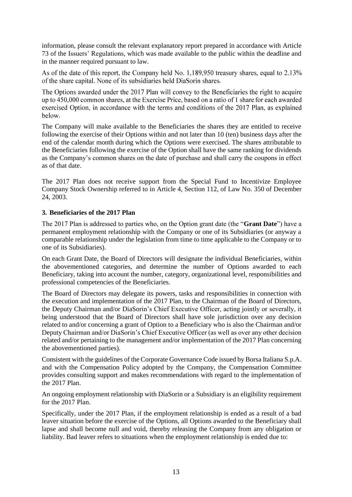information, please consult the relevant explanatory report prepared in accordance with Article 73 of the Issuers' Regulations, which was made available to the public within the deadline and in the manner required pursuant to law.

As of the date of this report, the Company held No. 1,189,950 treasury shares, equal to 2.13% of the share capital. None of its subsidiaries held DiaSorin shares.

The Options awarded under the 2017 Plan will convey to the Beneficiaries the right to acquire up to 450,000 common shares, at the Exercise Price, based on a ratio of 1 share for each awarded exercised Option, in accordance with the terms and conditions of the 2017 Plan, as explained below.

The Company will make available to the Beneficiaries the shares they are entitled to receive following the exercise of their Options within and not later than 10 (ten) business days after the end of the calendar month during which the Options were exercised. The shares attributable to the Beneficiaries following the exercise of the Option shall have the same ranking for dividends as the Company's common shares on the date of purchase and shall carry the coupons in effect as of that date.

The 2017 Plan does not receive support from the Special Fund to Incentivize Employee Company Stock Ownership referred to in Article 4, Section 112, of Law No. 350 of December 24, 2003.

#### **3. Beneficiaries of the 2017 Plan**

The 2017 Plan is addressed to parties who, on the Option grant date (the "**Grant Date**") have a permanent employment relationship with the Company or one of its Subsidiaries (or anyway a comparable relationship under the legislation from time to time applicable to the Company or to one of its Subsidiaries).

On each Grant Date, the Board of Directors will designate the individual Beneficiaries, within the abovementioned categories, and determine the number of Options awarded to each Beneficiary, taking into account the number, category, organizational level, responsibilities and professional competencies of the Beneficiaries.

The Board of Directors may delegate its powers, tasks and responsibilities in connection with the execution and implementation of the 2017 Plan, to the Chairman of the Board of Directors, the Deputy Chairman and/or DiaSorin's Chief Executive Officer, acting jointly or severally, it being understood that the Board of Directors shall have sole jurisdiction over any decision related to and/or concerning a grant of Option to a Beneficiary who is also the Chairman and/or Deputy Chairman and/or DiaSorin's Chief Executive Officer (as well as over any other decision related and/or pertaining to the management and/or implementation of the 2017 Plan concerning the abovementioned parties).

Consistent with the guidelines of the Corporate Governance Code issued by Borsa Italiana S.p.A. and with the Compensation Policy adopted by the Company, the Compensation Committee provides consulting support and makes recommendations with regard to the implementation of the 2017 Plan.

An ongoing employment relationship with DiaSorin or a Subsidiary is an eligibility requirement for the 2017 Plan.

Specifically, under the 2017 Plan, if the employment relationship is ended as a result of a bad leaver situation before the exercise of the Options, all Options awarded to the Beneficiary shall lapse and shall become null and void, thereby releasing the Company from any obligation or liability. Bad leaver refers to situations when the employment relationship is ended due to: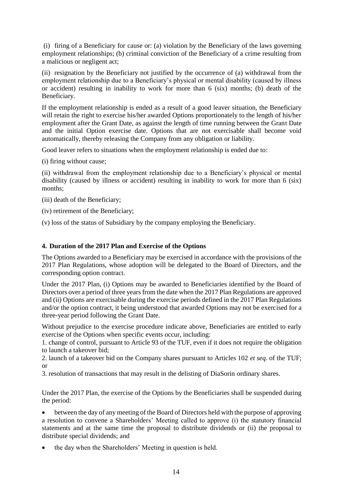(i) firing of a Beneficiary for cause or: (a) violation by the Beneficiary of the laws governing employment relationships; (b) criminal conviction of the Beneficiary of a crime resulting from a malicious or negligent act;

(ii) resignation by the Beneficiary not justified by the occurrence of (a) withdrawal from the employment relationship due to a Beneficiary's physical or mental disability (caused by illness or accident) resulting in inability to work for more than 6 (six) months; (b) death of the Beneficiary.

If the employment relationship is ended as a result of a good leaver situation, the Beneficiary will retain the right to exercise his/her awarded Options proportionately to the length of his/her employment after the Grant Date, as against the length of time running between the Grant Date and the initial Option exercise date. Options that are not exercisable shall become void automatically, thereby releasing the Company from any obligation or liability.

Good leaver refers to situations when the employment relationship is ended due to:

(i) firing without cause;

(ii) withdrawal from the employment relationship due to a Beneficiary's physical or mental disability (caused by illness or accident) resulting in inability to work for more than 6 (six) months;

(iii) death of the Beneficiary;

(iv) retirement of the Beneficiary;

(v) loss of the status of Subsidiary by the company employing the Beneficiary.

#### **4. Duration of the 2017 Plan and Exercise of the Options**

The Options awarded to a Beneficiary may be exercised in accordance with the provisions of the 2017 Plan Regulations, whose adoption will be delegated to the Board of Directors, and the corresponding option contract.

Under the 2017 Plan, (i) Options may be awarded to Beneficiaries identified by the Board of Directors over a period of three years from the date when the 2017 Plan Regulations are approved and (ii) Options are exercisable during the exercise periods defined in the 2017 Plan Regulations and/or the option contract, it being understood that awarded Options may not be exercised for a three-year period following the Grant Date.

Without prejudice to the exercise procedure indicate above. Beneficiaries are entitled to early exercise of the Options when specific events occur, including:

1. change of control, pursuant to Article 93 of the TUF, even if it does not require the obligation to launch a takeover bid;

2. launch of a takeover bid on the Company shares pursuant to Articles 102 *et seq*. of the TUF; or

3. resolution of transactions that may result in the delisting of DiaSorin ordinary shares.

Under the 2017 Plan, the exercise of the Options by the Beneficiaries shall be suspended during the period:

 between the day of any meeting of the Board of Directors held with the purpose of approving a resolution to convene a Shareholders' Meeting called to approve (i) the statutory financial statements and at the same time the proposal to distribute dividends or (ii) the proposal to distribute special dividends; and

the day when the Shareholders' Meeting in question is held.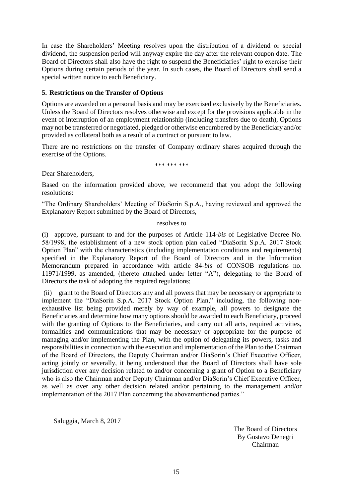In case the Shareholders' Meeting resolves upon the distribution of a dividend or special dividend, the suspension period will anyway expire the day after the relevant coupon date. The Board of Directors shall also have the right to suspend the Beneficiaries' right to exercise their Options during certain periods of the year. In such cases, the Board of Directors shall send a special written notice to each Beneficiary.

#### **5. Restrictions on the Transfer of Options**

Options are awarded on a personal basis and may be exercised exclusively by the Beneficiaries. Unless the Board of Directors resolves otherwise and except for the provisions applicable in the event of interruption of an employment relationship (including transfers due to death), Options may not be transferred or negotiated, pledged or otherwise encumbered by the Beneficiary and/or provided as collateral both as a result of a contract or pursuant to law.

There are no restrictions on the transfer of Company ordinary shares acquired through the exercise of the Options.

\*\*\* \*\*\* \*\*\*

Dear Shareholders,

Based on the information provided above, we recommend that you adopt the following resolutions:

"The Ordinary Shareholders' Meeting of DiaSorin S.p.A., having reviewed and approved the Explanatory Report submitted by the Board of Directors,

#### resolves to

(i) approve, pursuant to and for the purposes of Article 114-*bis* of Legislative Decree No. 58/1998, the establishment of a new stock option plan called "DiaSorin S.p.A. 2017 Stock Option Plan" with the characteristics (including implementation conditions and requirements) specified in the Explanatory Report of the Board of Directors and in the Information Memorandum prepared in accordance with article 84-*bis* of CONSOB regulations no. 11971/1999, as amended, (thereto attached under letter "A"), delegating to the Board of Directors the task of adopting the required regulations;

(ii) grant to the Board of Directors any and all powers that may be necessary or appropriate to implement the "DiaSorin S.p.A. 2017 Stock Option Plan," including, the following nonexhaustive list being provided merely by way of example, all powers to designate the Beneficiaries and determine how many options should be awarded to each Beneficiary, proceed with the granting of Options to the Beneficiaries, and carry out all acts, required activities, formalities and communications that may be necessary or appropriate for the purpose of managing and/or implementing the Plan, with the option of delegating its powers, tasks and responsibilities in connection with the execution and implementation of the Plan to the Chairman of the Board of Directors, the Deputy Chairman and/or DiaSorin's Chief Executive Officer, acting jointly or severally, it being understood that the Board of Directors shall have sole jurisdiction over any decision related to and/or concerning a grant of Option to a Beneficiary who is also the Chairman and/or Deputy Chairman and/or DiaSorin's Chief Executive Officer, as well as over any other decision related and/or pertaining to the management and/or implementation of the 2017 Plan concerning the abovementioned parties."

Saluggia, March 8, 2017

The Board of Directors By Gustavo Denegri Chairman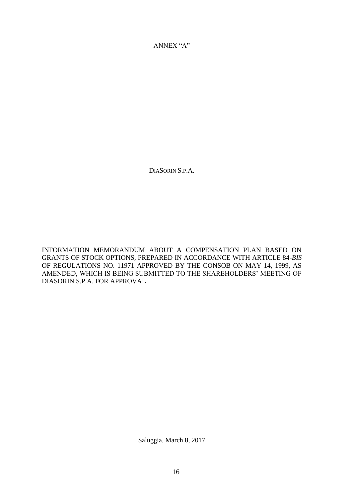ANNEX "A"

DIASORIN S.P.A.

INFORMATION MEMORANDUM ABOUT A COMPENSATION PLAN BASED ON GRANTS OF STOCK OPTIONS, PREPARED IN ACCORDANCE WITH ARTICLE 84-*BIS*  OF REGULATIONS NO. 11971 APPROVED BY THE CONSOB ON MAY 14, 1999, AS AMENDED, WHICH IS BEING SUBMITTED TO THE SHAREHOLDERS' MEETING OF DIASORIN S.P.A. FOR APPROVAL

Saluggia, March 8, 2017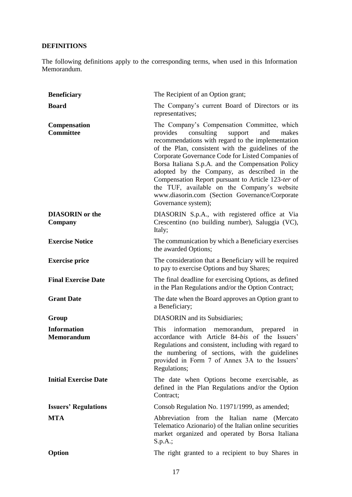## **DEFINITIONS**

The following definitions apply to the corresponding terms, when used in this Information Memorandum.

| <b>Beneficiary</b>                      | The Recipient of an Option grant;                                                                                                                                                                                                                                                                                                                                                                                                                                                                                                                  |
|-----------------------------------------|----------------------------------------------------------------------------------------------------------------------------------------------------------------------------------------------------------------------------------------------------------------------------------------------------------------------------------------------------------------------------------------------------------------------------------------------------------------------------------------------------------------------------------------------------|
| <b>Board</b>                            | The Company's current Board of Directors or its<br>representatives;                                                                                                                                                                                                                                                                                                                                                                                                                                                                                |
| <b>Compensation</b><br><b>Committee</b> | The Company's Compensation Committee, which<br>consulting<br>provides<br>support<br>makes<br>and<br>recommendations with regard to the implementation<br>of the Plan, consistent with the guidelines of the<br>Corporate Governance Code for Listed Companies of<br>Borsa Italiana S.p.A. and the Compensation Policy<br>adopted by the Company, as described in the<br>Compensation Report pursuant to Article 123-ter of<br>the TUF, available on the Company's website<br>www.diasorin.com (Section Governance/Corporate<br>Governance system); |
| <b>DIASORIN</b> or the<br>Company       | DIASORIN S.p.A., with registered office at Via<br>Crescentino (no building number), Saluggia (VC),<br>Italy;                                                                                                                                                                                                                                                                                                                                                                                                                                       |
| <b>Exercise Notice</b>                  | The communication by which a Beneficiary exercises<br>the awarded Options;                                                                                                                                                                                                                                                                                                                                                                                                                                                                         |
| <b>Exercise price</b>                   | The consideration that a Beneficiary will be required<br>to pay to exercise Options and buy Shares;                                                                                                                                                                                                                                                                                                                                                                                                                                                |
| <b>Final Exercise Date</b>              | The final deadline for exercising Options, as defined<br>in the Plan Regulations and/or the Option Contract;                                                                                                                                                                                                                                                                                                                                                                                                                                       |
| <b>Grant Date</b>                       | The date when the Board approves an Option grant to<br>a Beneficiary;                                                                                                                                                                                                                                                                                                                                                                                                                                                                              |
| Group                                   | <b>DIASORIN</b> and its Subsidiaries;                                                                                                                                                                                                                                                                                                                                                                                                                                                                                                              |
| <b>Information</b><br><b>Memorandum</b> | information memorandum, prepared<br>This<br>in<br>accordance with Article 84-bis of the Issuers'<br>Regulations and consistent, including with regard to<br>the numbering of sections, with the guidelines<br>provided in Form 7 of Annex 3A to the Issuers'<br>Regulations;                                                                                                                                                                                                                                                                       |
| <b>Initial Exercise Date</b>            | The date when Options become exercisable, as<br>defined in the Plan Regulations and/or the Option<br>Contract;                                                                                                                                                                                                                                                                                                                                                                                                                                     |
| <b>Issuers' Regulations</b>             | Consob Regulation No. 11971/1999, as amended;                                                                                                                                                                                                                                                                                                                                                                                                                                                                                                      |
| <b>MTA</b>                              | Abbreviation from the Italian name (Mercato<br>Telematico Azionario) of the Italian online securities<br>market organized and operated by Borsa Italiana<br>S.p.A.;                                                                                                                                                                                                                                                                                                                                                                                |
| Option                                  | The right granted to a recipient to buy Shares in                                                                                                                                                                                                                                                                                                                                                                                                                                                                                                  |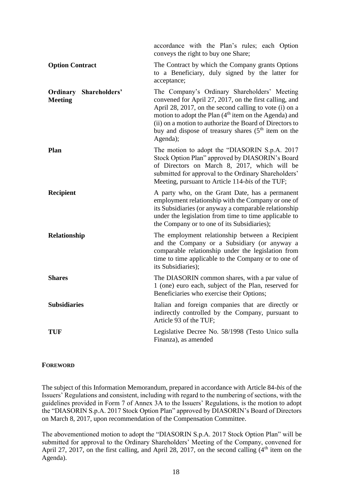|                                                 | accordance with the Plan's rules; each Option<br>conveys the right to buy one Share;                                                                                                                                                                                                                                                                                  |
|-------------------------------------------------|-----------------------------------------------------------------------------------------------------------------------------------------------------------------------------------------------------------------------------------------------------------------------------------------------------------------------------------------------------------------------|
| <b>Option Contract</b>                          | The Contract by which the Company grants Options<br>to a Beneficiary, duly signed by the latter for<br>acceptance;                                                                                                                                                                                                                                                    |
| <b>Ordinary Shareholders'</b><br><b>Meeting</b> | The Company's Ordinary Shareholders' Meeting<br>convened for April 27, 2017, on the first calling, and<br>April 28, 2017, on the second calling to vote (i) on a<br>motion to adopt the Plan (4 <sup>th</sup> item on the Agenda) and<br>(ii) on a motion to authorize the Board of Directors to<br>buy and dispose of treasury shares $(5th$ item on the<br>Agenda); |
| Plan                                            | The motion to adopt the "DIASORIN S.p.A. 2017<br>Stock Option Plan" approved by DIASORIN's Board<br>of Directors on March 8, 2017, which will be<br>submitted for approval to the Ordinary Shareholders'<br>Meeting, pursuant to Article 114-bis of the TUF;                                                                                                          |
| Recipient                                       | A party who, on the Grant Date, has a permanent<br>employment relationship with the Company or one of<br>its Subsidiaries (or anyway a comparable relationship<br>under the legislation from time to time applicable to<br>the Company or to one of its Subsidiaries);                                                                                                |
| Relationship                                    | The employment relationship between a Recipient<br>and the Company or a Subsidiary (or anyway a<br>comparable relationship under the legislation from<br>time to time applicable to the Company or to one of<br>its Subsidiaries);                                                                                                                                    |
| <b>Shares</b>                                   | The DIASORIN common shares, with a par value of<br>1 (one) euro each, subject of the Plan, reserved for<br>Beneficiaries who exercise their Options;                                                                                                                                                                                                                  |
| <b>Subsidiaries</b>                             | Italian and foreign companies that are directly or<br>indirectly controlled by the Company, pursuant to<br>Article 93 of the TUF;                                                                                                                                                                                                                                     |
| TUF                                             | Legislative Decree No. 58/1998 (Testo Unico sulla<br>Finanza), as amended                                                                                                                                                                                                                                                                                             |

#### **FOREWORD**

The subject of this Information Memorandum, prepared in accordance with Article 84-*bis* of the Issuers' Regulations and consistent, including with regard to the numbering of sections, with the guidelines provided in Form 7 of Annex 3A to the Issuers' Regulations, is the motion to adopt the "DIASORIN S.p.A. 2017 Stock Option Plan" approved by DIASORIN's Board of Directors on March 8, 2017, upon recommendation of the Compensation Committee.

The abovementioned motion to adopt the "DIASORIN S.p.A. 2017 Stock Option Plan" will be submitted for approval to the Ordinary Shareholders' Meeting of the Company, convened for April 27, 2017, on the first calling, and April 28, 2017, on the second calling  $(4<sup>th</sup>$  item on the Agenda).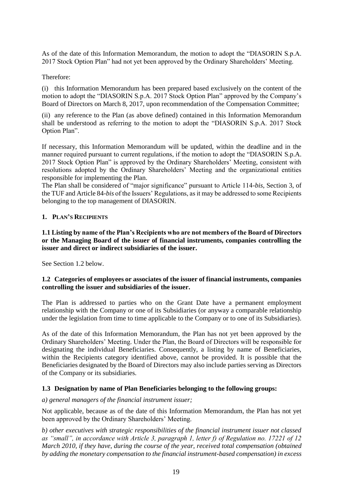As of the date of this Information Memorandum, the motion to adopt the "DIASORIN S.p.A. 2017 Stock Option Plan" had not yet been approved by the Ordinary Shareholders' Meeting.

#### Therefore:

(i) this Information Memorandum has been prepared based exclusively on the content of the motion to adopt the "DIASORIN S.p.A. 2017 Stock Option Plan" approved by the Company's Board of Directors on March 8, 2017, upon recommendation of the Compensation Committee;

(ii) any reference to the Plan (as above defined) contained in this Information Memorandum shall be understood as referring to the motion to adopt the "DIASORIN S.p.A. 2017 Stock Option Plan".

If necessary, this Information Memorandum will be updated, within the deadline and in the manner required pursuant to current regulations, if the motion to adopt the "DIASORIN S.p.A. 2017 Stock Option Plan" is approved by the Ordinary Shareholders' Meeting, consistent with resolutions adopted by the Ordinary Shareholders' Meeting and the organizational entities responsible for implementing the Plan.

The Plan shall be considered of "major significance" pursuant to Article 114-*bis*, Section 3, of the TUF and Article 84-*bis* of the Issuers' Regulations, as it may be addressed to some Recipients belonging to the top management of DIASORIN.

#### **1. PLAN'S RECIPIENTS**

**1.1 Listing by name of the Plan's Recipients who are not members of the Board of Directors or the Managing Board of the issuer of financial instruments, companies controlling the issuer and direct or indirect subsidiaries of the issuer.**

See Section 1.2 below.

#### **1.2 Categories of employees or associates of the issuer of financial instruments, companies controlling the issuer and subsidiaries of the issuer.**

The Plan is addressed to parties who on the Grant Date have a permanent employment relationship with the Company or one of its Subsidiaries (or anyway a comparable relationship under the legislation from time to time applicable to the Company or to one of its Subsidiaries).

As of the date of this Information Memorandum, the Plan has not yet been approved by the Ordinary Shareholders' Meeting. Under the Plan, the Board of Directors will be responsible for designating the individual Beneficiaries. Consequently, a listing by name of Beneficiaries, within the Recipients category identified above, cannot be provided. It is possible that the Beneficiaries designated by the Board of Directors may also include parties serving as Directors of the Company or its subsidiaries.

#### **1.3 Designation by name of Plan Beneficiaries belonging to the following groups:**

*a) general managers of the financial instrument issuer;*

Not applicable, because as of the date of this Information Memorandum, the Plan has not yet been approved by the Ordinary Shareholders' Meeting.

*b) other executives with strategic responsibilities of the financial instrument issuer not classed as "small", in accordance with Article 3, paragraph 1, letter f) of Regulation no. 17221 of 12 March 2010, if they have, during the course of the year, received total compensation (obtained by adding the monetary compensation to the financial instrument-based compensation) in excess*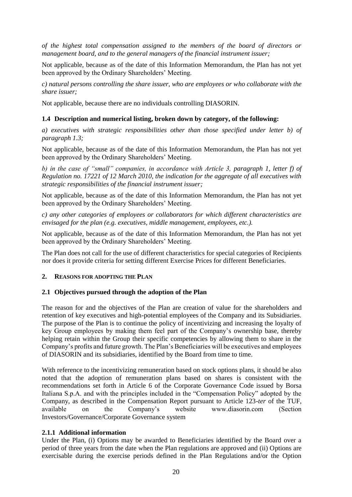*of the highest total compensation assigned to the members of the board of directors or management board, and to the general managers of the financial instrument issuer;*

Not applicable, because as of the date of this Information Memorandum, the Plan has not yet been approved by the Ordinary Shareholders' Meeting.

*c) natural persons controlling the share issuer, who are employees or who collaborate with the share issuer;*

Not applicable, because there are no individuals controlling DIASORIN.

#### **1.4 Description and numerical listing, broken down by category, of the following:**

*a) executives with strategic responsibilities other than those specified under letter b) of paragraph 1.3;*

Not applicable, because as of the date of this Information Memorandum, the Plan has not yet been approved by the Ordinary Shareholders' Meeting.

*b) in the case of "small" companies, in accordance with Article 3, paragraph 1, letter f) of Regulation no. 17221 of 12 March 2010, the indication for the aggregate of all executives with strategic responsibilities of the financial instrument issuer;*

Not applicable, because as of the date of this Information Memorandum, the Plan has not yet been approved by the Ordinary Shareholders' Meeting.

*c) any other categories of employees or collaborators for which different characteristics are envisaged for the plan (e.g. executives, middle management, employees, etc.).*

Not applicable, because as of the date of this Information Memorandum, the Plan has not yet been approved by the Ordinary Shareholders' Meeting.

The Plan does not call for the use of different characteristics for special categories of Recipients nor does it provide criteria for setting different Exercise Prices for different Beneficiaries.

#### **2. REASONS FOR ADOPTING THE PLAN**

#### **2.1 Objectives pursued through the adoption of the Plan**

The reason for and the objectives of the Plan are creation of value for the shareholders and retention of key executives and high-potential employees of the Company and its Subsidiaries. The purpose of the Plan is to continue the policy of incentivizing and increasing the loyalty of key Group employees by making them feel part of the Company's ownership base, thereby helping retain within the Group their specific competencies by allowing them to share in the Company's profits and future growth. The Plan's Beneficiaries will be executives and employees of DIASORIN and its subsidiaries, identified by the Board from time to time.

With reference to the incentivizing remuneration based on stock options plans, it should be also noted that the adoption of remuneration plans based on shares is consistent with the recommendations set forth in Article 6 of the Corporate Governance Code issued by Borsa Italiana S.p.A. and with the principles included in the "Compensation Policy" adopted by the Company, as described in the Compensation Report pursuant to Article 123-*ter* of the TUF, available on the Company's website www.diasorin.com (Section Investors/Governance/Corporate Governance system

#### **2.1.1 Additional information**

Under the Plan, (i) Options may be awarded to Beneficiaries identified by the Board over a period of three years from the date when the Plan regulations are approved and (ii) Options are exercisable during the exercise periods defined in the Plan Regulations and/or the Option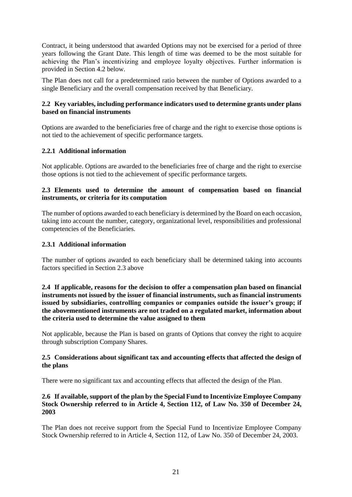Contract, it being understood that awarded Options may not be exercised for a period of three years following the Grant Date. This length of time was deemed to be the most suitable for achieving the Plan's incentivizing and employee loyalty objectives. Further information is provided in Section 4.2 below.

The Plan does not call for a predetermined ratio between the number of Options awarded to a single Beneficiary and the overall compensation received by that Beneficiary.

#### **2.2 Key variables, including performance indicators used to determine grants under plans based on financial instruments**

Options are awarded to the beneficiaries free of charge and the right to exercise those options is not tied to the achievement of specific performance targets.

#### **2.2.1 Additional information**

Not applicable. Options are awarded to the beneficiaries free of charge and the right to exercise those options is not tied to the achievement of specific performance targets.

#### **2.3 Elements used to determine the amount of compensation based on financial instruments, or criteria for its computation**

The number of options awarded to each beneficiary is determined by the Board on each occasion, taking into account the number, category, organizational level, responsibilities and professional competencies of the Beneficiaries.

#### **2.3.1 Additional information**

The number of options awarded to each beneficiary shall be determined taking into accounts factors specified in Section 2.3 above

**2.4 If applicable, reasons for the decision to offer a compensation plan based on financial instruments not issued by the issuer of financial instruments, such as financial instruments issued by subsidiaries, controlling companies or companies outside the issuer's group; if the abovementioned instruments are not traded on a regulated market, information about the criteria used to determine the value assigned to them**

Not applicable, because the Plan is based on grants of Options that convey the right to acquire through subscription Company Shares.

#### **2.5 Considerations about significant tax and accounting effects that affected the design of the plans**

There were no significant tax and accounting effects that affected the design of the Plan.

#### **2.6 If available, support of the plan by the Special Fund to Incentivize Employee Company Stock Ownership referred to in Article 4, Section 112, of Law No. 350 of December 24, 2003**

The Plan does not receive support from the Special Fund to Incentivize Employee Company Stock Ownership referred to in Article 4, Section 112, of Law No. 350 of December 24, 2003.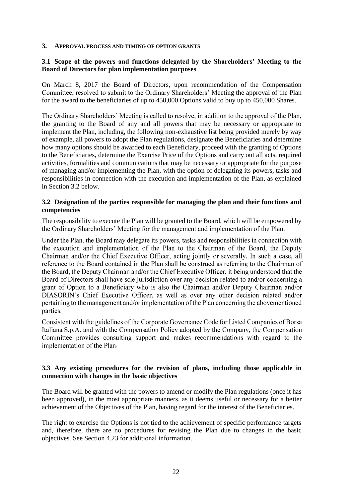#### **3. APPROVAL PROCESS AND TIMING OF OPTION GRANTS**

#### **3.1 Scope of the powers and functions delegated by the Shareholders' Meeting to the Board of Directors for plan implementation purposes**

On March 8, 2017 the Board of Directors, upon recommendation of the Compensation Committee, resolved to submit to the Ordinary Shareholders' Meeting the approval of the Plan for the award to the beneficiaries of up to 450,000 Options valid to buy up to 450,000 Shares.

The Ordinary Shareholders' Meeting is called to resolve, in addition to the approval of the Plan, the granting to the Board of any and all powers that may be necessary or appropriate to implement the Plan, including, the following non-exhaustive list being provided merely by way of example, all powers to adopt the Plan regulations, designate the Beneficiaries and determine how many options should be awarded to each Beneficiary, proceed with the granting of Options to the Beneficiaries, determine the Exercise Price of the Options and carry out all acts, required activities, formalities and communications that may be necessary or appropriate for the purpose of managing and/or implementing the Plan, with the option of delegating its powers, tasks and responsibilities in connection with the execution and implementation of the Plan, as explained in Section 3.2 below.

#### **3.2 Designation of the parties responsible for managing the plan and their functions and competencies**

The responsibility to execute the Plan will be granted to the Board, which will be empowered by the Ordinary Shareholders' Meeting for the management and implementation of the Plan.

Under the Plan, the Board may delegate its powers, tasks and responsibilities in connection with the execution and implementation of the Plan to the Chairman of the Board, the Deputy Chairman and/or the Chief Executive Officer, acting jointly or severally. In such a case, all reference to the Board contained in the Plan shall be construed as referring to the Chairman of the Board, the Deputy Chairman and/or the Chief Executive Officer, it being understood that the Board of Directors shall have sole jurisdiction over any decision related to and/or concerning a grant of Option to a Beneficiary who is also the Chairman and/or Deputy Chairman and/or DIASORIN's Chief Executive Officer, as well as over any other decision related and/or pertaining to the management and/or implementation of the Plan concerning the abovementioned parties.

Consistent with the guidelines of the Corporate Governance Code for Listed Companies of Borsa Italiana S.p.A. and with the Compensation Policy adopted by the Company, the Compensation Committee provides consulting support and makes recommendations with regard to the implementation of the Plan.

#### **3.3 Any existing procedures for the revision of plans, including those applicable in connection with changes in the basic objectives**

The Board will be granted with the powers to amend or modify the Plan regulations (once it has been approved), in the most appropriate manners, as it deems useful or necessary for a better achievement of the Objectives of the Plan, having regard for the interest of the Beneficiaries.

The right to exercise the Options is not tied to the achievement of specific performance targets and, therefore, there are no procedures for revising the Plan due to changes in the basic objectives. See Section 4.23 for additional information.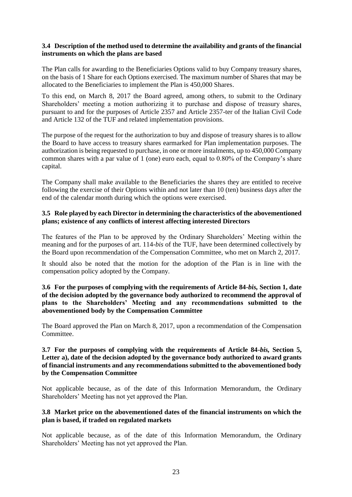#### **3.4 Description of the method used to determine the availability and grants of the financial instruments on which the plans are based**

The Plan calls for awarding to the Beneficiaries Options valid to buy Company treasury shares, on the basis of 1 Share for each Options exercised. The maximum number of Shares that may be allocated to the Beneficiaries to implement the Plan is 450,000 Shares.

To this end, on March 8, 2017 the Board agreed, among others, to submit to the Ordinary Shareholders' meeting a motion authorizing it to purchase and dispose of treasury shares, pursuant to and for the purposes of Article 2357 and Article 2357-ter of the Italian Civil Code and Article 132 of the TUF and related implementation provisions.

The purpose of the request for the authorization to buy and dispose of treasury shares is to allow the Board to have access to treasury shares earmarked for Plan implementation purposes. The authorization is being requested to purchase, in one or more instalments, up to 450,000 Company common shares with a par value of 1 (one) euro each, equal to  $0.80\%$  of the Company's share capital.

The Company shall make available to the Beneficiaries the shares they are entitled to receive following the exercise of their Options within and not later than 10 (ten) business days after the end of the calendar month during which the options were exercised.

#### **3.5 Role played by each Director in determining the characteristics of the abovementioned plans; existence of any conflicts of interest affecting interested Directors**

The features of the Plan to be approved by the Ordinary Shareholders' Meeting within the meaning and for the purposes of art. 114-*bis* of the TUF, have been determined collectively by the Board upon recommendation of the Compensation Committee, who met on March 2, 2017.

It should also be noted that the motion for the adoption of the Plan is in line with the compensation policy adopted by the Company.

**3.6 For the purposes of complying with the requirements of Article 84-***bis,* **Section 1, date of the decision adopted by the governance body authorized to recommend the approval of plans to the Shareholders' Meeting and any recommendations submitted to the abovementioned body by the Compensation Committee**

The Board approved the Plan on March 8, 2017, upon a recommendation of the Compensation Committee.

#### **3.7 For the purposes of complying with the requirements of Article 84-***bis,* **Section 5, Letter a), date of the decision adopted by the governance body authorized to award grants of financial instruments and any recommendations submitted to the abovementioned body by the Compensation Committee**

Not applicable because, as of the date of this Information Memorandum, the Ordinary Shareholders' Meeting has not yet approved the Plan.

#### **3.8 Market price on the abovementioned dates of the financial instruments on which the plan is based, if traded on regulated markets**

Not applicable because, as of the date of this Information Memorandum, the Ordinary Shareholders' Meeting has not yet approved the Plan.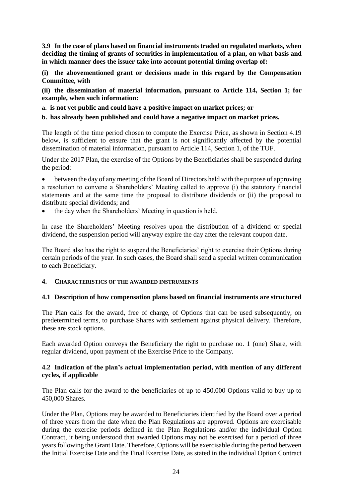**3.9 In the case of plans based on financial instruments traded on regulated markets, when deciding the timing of grants of securities in implementation of a plan, on what basis and in which manner does the issuer take into account potential timing overlap of:**

**(i) the abovementioned grant or decisions made in this regard by the Compensation Committee, with**

**(ii) the dissemination of material information, pursuant to Article 114, Section 1; for example, when such information:** 

**a. is not yet public and could have a positive impact on market prices; or**

#### **b. has already been published and could have a negative impact on market prices.**

The length of the time period chosen to compute the Exercise Price, as shown in Section 4.19 below, is sufficient to ensure that the grant is not significantly affected by the potential dissemination of material information, pursuant to Article 114, Section 1, of the TUF.

Under the 2017 Plan, the exercise of the Options by the Beneficiaries shall be suspended during the period:

 between the day of any meeting of the Board of Directors held with the purpose of approving a resolution to convene a Shareholders' Meeting called to approve (i) the statutory financial statements and at the same time the proposal to distribute dividends or (ii) the proposal to distribute special dividends; and

the day when the Shareholders' Meeting in question is held.

In case the Shareholders' Meeting resolves upon the distribution of a dividend or special dividend, the suspension period will anyway expire the day after the relevant coupon date.

The Board also has the right to suspend the Beneficiaries' right to exercise their Options during certain periods of the year. In such cases, the Board shall send a special written communication to each Beneficiary.

#### **4. CHARACTERISTICS OF THE AWARDED INSTRUMENTS**

#### **4.1 Description of how compensation plans based on financial instruments are structured**

The Plan calls for the award, free of charge, of Options that can be used subsequently, on predetermined terms, to purchase Shares with settlement against physical delivery. Therefore, these are stock options.

Each awarded Option conveys the Beneficiary the right to purchase no. 1 (one) Share, with regular dividend, upon payment of the Exercise Price to the Company.

#### **4.2 Indication of the plan's actual implementation period, with mention of any different cycles, if applicable**

The Plan calls for the award to the beneficiaries of up to 450,000 Options valid to buy up to 450,000 Shares.

Under the Plan, Options may be awarded to Beneficiaries identified by the Board over a period of three years from the date when the Plan Regulations are approved. Options are exercisable during the exercise periods defined in the Plan Regulations and/or the individual Option Contract, it being understood that awarded Options may not be exercised for a period of three years following the Grant Date. Therefore, Options will be exercisable during the period between the Initial Exercise Date and the Final Exercise Date, as stated in the individual Option Contract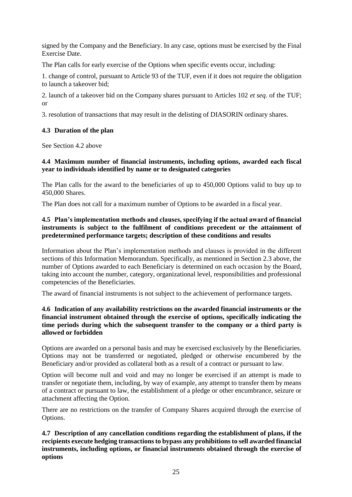signed by the Company and the Beneficiary. In any case, options must be exercised by the Final Exercise Date.

The Plan calls for early exercise of the Options when specific events occur, including:

1. change of control, pursuant to Article 93 of the TUF, even if it does not require the obligation to launch a takeover bid;

2. launch of a takeover bid on the Company shares pursuant to Articles 102 *et seq*. of the TUF; or

3. resolution of transactions that may result in the delisting of DIASORIN ordinary shares.

#### **4.3 Duration of the plan**

See Section 4.2 above

#### **4.4 Maximum number of financial instruments, including options, awarded each fiscal year to individuals identified by name or to designated categories**

The Plan calls for the award to the beneficiaries of up to 450,000 Options valid to buy up to 450,000 Shares.

The Plan does not call for a maximum number of Options to be awarded in a fiscal year.

#### **4.5 Plan's implementation methods and clauses, specifying if the actual award of financial instruments is subject to the fulfilment of conditions precedent or the attainment of predetermined performance targets; description of these conditions and results**

Information about the Plan's implementation methods and clauses is provided in the different sections of this Information Memorandum. Specifically, as mentioned in Section 2.3 above, the number of Options awarded to each Beneficiary is determined on each occasion by the Board, taking into account the number, category, organizational level, responsibilities and professional competencies of the Beneficiaries.

The award of financial instruments is not subject to the achievement of performance targets.

#### **4.6 Indication of any availability restrictions on the awarded financial instruments or the financial instrument obtained through the exercise of options, specifically indicating the time periods during which the subsequent transfer to the company or a third party is allowed or forbidden**

Options are awarded on a personal basis and may be exercised exclusively by the Beneficiaries. Options may not be transferred or negotiated, pledged or otherwise encumbered by the Beneficiary and/or provided as collateral both as a result of a contract or pursuant to law.

Option will become null and void and may no longer be exercised if an attempt is made to transfer or negotiate them, including, by way of example, any attempt to transfer them by means of a contract or pursuant to law, the establishment of a pledge or other encumbrance, seizure or attachment affecting the Option.

There are no restrictions on the transfer of Company Shares acquired through the exercise of Options.

**4.7 Description of any cancellation conditions regarding the establishment of plans, if the recipients execute hedging transactions to bypass any prohibitions to sell awarded financial instruments, including options, or financial instruments obtained through the exercise of options**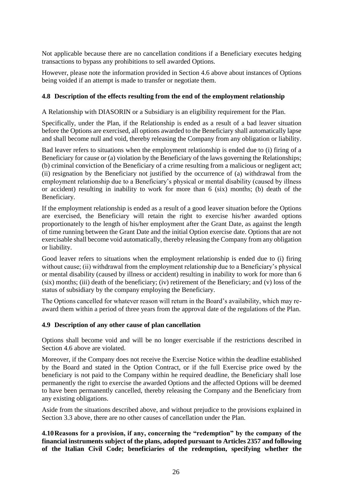Not applicable because there are no cancellation conditions if a Beneficiary executes hedging transactions to bypass any prohibitions to sell awarded Options.

However, please note the information provided in Section 4.6 above about instances of Options being voided if an attempt is made to transfer or negotiate them.

#### **4.8 Description of the effects resulting from the end of the employment relationship**

A Relationship with DIASORIN or a Subsidiary is an eligibility requirement for the Plan.

Specifically, under the Plan, if the Relationship is ended as a result of a bad leaver situation before the Options are exercised, all options awarded to the Beneficiary shall automatically lapse and shall become null and void, thereby releasing the Company from any obligation or liability.

Bad leaver refers to situations when the employment relationship is ended due to (i) firing of a Beneficiary for cause or (a) violation by the Beneficiary of the laws governing the Relationships; (b) criminal conviction of the Beneficiary of a crime resulting from a malicious or negligent act; (ii) resignation by the Beneficiary not justified by the occurrence of (a) withdrawal from the employment relationship due to a Beneficiary's physical or mental disability (caused by illness or accident) resulting in inability to work for more than 6 (six) months; (b) death of the Beneficiary.

If the employment relationship is ended as a result of a good leaver situation before the Options are exercised, the Beneficiary will retain the right to exercise his/her awarded options proportionately to the length of his/her employment after the Grant Date, as against the length of time running between the Grant Date and the initial Option exercise date. Options that are not exercisable shall become void automatically, thereby releasing the Company from any obligation or liability.

Good leaver refers to situations when the employment relationship is ended due to (i) firing without cause; (ii) withdrawal from the employment relationship due to a Beneficiary's physical or mental disability (caused by illness or accident) resulting in inability to work for more than 6  $(six)$  months; (iii) death of the beneficiary; (iv) retirement of the Beneficiary; and (v) loss of the status of subsidiary by the company employing the Beneficiary.

The Options cancelled for whatever reason will return in the Board's availability, which may reaward them within a period of three years from the approval date of the regulations of the Plan.

#### **4.9 Description of any other cause of plan cancellation**

Options shall become void and will be no longer exercisable if the restrictions described in Section 4.6 above are violated.

Moreover, if the Company does not receive the Exercise Notice within the deadline established by the Board and stated in the Option Contract, or if the full Exercise price owed by the beneficiary is not paid to the Company within he required deadline, the Beneficiary shall lose permanently the right to exercise the awarded Options and the affected Options will be deemed to have been permanently cancelled, thereby releasing the Company and the Beneficiary from any existing obligations.

Aside from the situations described above, and without prejudice to the provisions explained in Section 3.3 above, there are no other causes of cancellation under the Plan.

**4.10Reasons for a provision, if any, concerning the "redemption" by the company of the financial instruments subject of the plans, adopted pursuant to Articles 2357 and following of the Italian Civil Code; beneficiaries of the redemption, specifying whether the**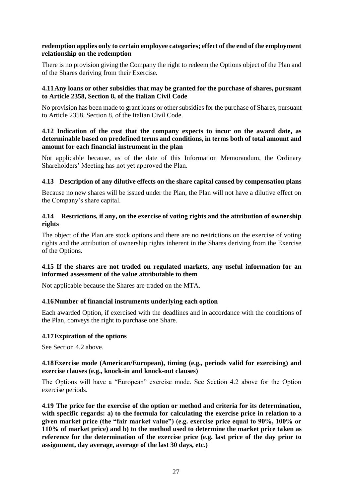#### **redemption applies only to certain employee categories; effect of the end of the employment relationship on the redemption**

There is no provision giving the Company the right to redeem the Options object of the Plan and of the Shares deriving from their Exercise.

#### **4.11Any loans or other subsidies that may be granted for the purchase of shares, pursuant to Article 2358, Section 8, of the Italian Civil Code**

No provision has been made to grant loans or other subsidies for the purchase of Shares, pursuant to Article 2358, Section 8, of the Italian Civil Code.

#### **4.12 Indication of the cost that the company expects to incur on the award date, as determinable based on predefined terms and conditions, in terms both of total amount and amount for each financial instrument in the plan**

Not applicable because, as of the date of this Information Memorandum, the Ordinary Shareholders' Meeting has not yet approved the Plan.

#### **4.13 Description of any dilutive effects on the share capital caused by compensation plans**

Because no new shares will be issued under the Plan, the Plan will not have a dilutive effect on the Company's share capital.

#### **4.14 Restrictions, if any, on the exercise of voting rights and the attribution of ownership rights**

The object of the Plan are stock options and there are no restrictions on the exercise of voting rights and the attribution of ownership rights inherent in the Shares deriving from the Exercise of the Options.

#### **4.15 If the shares are not traded on regulated markets, any useful information for an informed assessment of the value attributable to them**

Not applicable because the Shares are traded on the MTA.

#### **4.16Number of financial instruments underlying each option**

Each awarded Option, if exercised with the deadlines and in accordance with the conditions of the Plan, conveys the right to purchase one Share.

#### **4.17Expiration of the options**

See Section 4.2 above.

#### **4.18Exercise mode (American/European), timing (e.g., periods valid for exercising) and exercise clauses (e.g., knock-in and knock-out clauses)**

The Options will have a "European" exercise mode. See Section 4.2 above for the Option exercise periods.

**4.19 The price for the exercise of the option or method and criteria for its determination, with specific regards: a) to the formula for calculating the exercise price in relation to a given market price (the "fair market value") (e.g. exercise price equal to 90%, 100% or 110% of market price) and b) to the method used to determine the market price taken as reference for the determination of the exercise price (e.g. last price of the day prior to assignment, day average, average of the last 30 days, etc.)**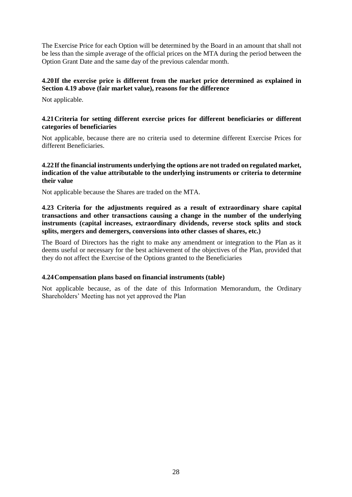The Exercise Price for each Option will be determined by the Board in an amount that shall not be less than the simple average of the official prices on the MTA during the period between the Option Grant Date and the same day of the previous calendar month.

#### **4.20If the exercise price is different from the market price determined as explained in Section 4.19 above (fair market value), reasons for the difference**

Not applicable.

#### **4.21Criteria for setting different exercise prices for different beneficiaries or different categories of beneficiaries**

Not applicable, because there are no criteria used to determine different Exercise Prices for different Beneficiaries.

#### **4.22If the financial instruments underlying the options are not traded on regulated market, indication of the value attributable to the underlying instruments or criteria to determine their value**

Not applicable because the Shares are traded on the MTA.

**4.23 Criteria for the adjustments required as a result of extraordinary share capital transactions and other transactions causing a change in the number of the underlying instruments (capital increases, extraordinary dividends, reverse stock splits and stock splits, mergers and demergers, conversions into other classes of shares, etc.)**

The Board of Directors has the right to make any amendment or integration to the Plan as it deems useful or necessary for the best achievement of the objectives of the Plan, provided that they do not affect the Exercise of the Options granted to the Beneficiaries

#### **4.24Compensation plans based on financial instruments (table)**

<span id="page-27-0"></span>Not applicable because, as of the date of this Information Memorandum, the Ordinary Shareholders' Meeting has not yet approved the Plan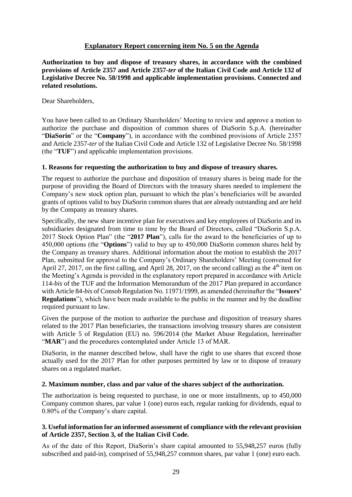#### **Explanatory Report concerning item No. 5 on the Agenda**

**Authorization to buy and dispose of treasury shares, in accordance with the combined provisions of Article 2357 and Article 2357-***ter* **of the Italian Civil Code and Article 132 of Legislative Decree No. 58/1998 and applicable implementation provisions. Connected and related resolutions.**

Dear Shareholders,

You have been called to an Ordinary Shareholders' Meeting to review and approve a motion to authorize the purchase and disposition of common shares of DiaSorin S.p.A. (hereinafter "**DiaSorin**" or the "**Company**"), in accordance with the combined provisions of Article 2357 and Article 2357-*ter* of the Italian Civil Code and Article 132 of Legislative Decree No. 58/1998 (the "**TUF**") and applicable implementation provisions.

#### **1. Reasons for requesting the authorization to buy and dispose of treasury shares.**

The request to authorize the purchase and disposition of treasury shares is being made for the purpose of providing the Board of Directors with the treasury shares needed to implement the Company's new stock option plan, pursuant to which the plan's beneficiaries will be awarded grants of options valid to buy DiaSorin common shares that are already outstanding and are held by the Company as treasury shares.

Specifically, the new share incentive plan for executives and key employees of DiaSorin and its subsidiaries designated from time to time by the Board of Directors, called "DiaSorin S.p.A. 2017 Stock Option Plan" (the "**2017 Plan**"), calls for the award to the beneficiaries of up to 450,000 options (the "**Options**") valid to buy up to 450,000 DiaSorin common shares held by the Company as treasury shares. Additional information about the motion to establish the 2017 Plan, submitted for approval to the Company's Ordinary Shareholders' Meeting (convened for April 27, 2017, on the first calling, and April 28, 2017, on the second calling) as the  $4<sup>th</sup>$  item on the Meeting's Agenda is provided in the explanatory report prepared in accordance with Article 114-*bis* of the TUF and the Information Memorandum of the 2017 Plan prepared in accordance with Article 84-*bis* of Consob Regulation No. 11971/1999, as amended (hereinafter the "**Issuers' Regulations**"), which have been made available to the public in the manner and by the deadline required pursuant to law.

Given the purpose of the motion to authorize the purchase and disposition of treasury shares related to the 2017 Plan beneficiaries, the transactions involving treasury shares are consistent with Article 5 of Regulation (EU) no. 596/2014 (the Market Abuse Regulation, hereinafter "**MAR**") and the procedures contemplated under Article 13 of MAR.

DiaSorin, in the manner described below, shall have the right to use shares that exceed those actually used for the 2017 Plan for other purposes permitted by law or to dispose of treasury shares on a regulated market.

#### **2. Maximum number, class and par value of the shares subject of the authorization.**

The authorization is being requested to purchase, in one or more installments, up to 450,000 Company common shares, par value 1 (one) euros each, regular ranking for dividends, equal to 0.80% of the Company's share capital.

#### **3. Useful information for an informed assessment of compliance with the relevant provision of Article 2357, Section 3, of the Italian Civil Code.**

As of the date of this Report, DiaSorin's share capital amounted to 55,948,257 euros (fully subscribed and paid-in), comprised of 55,948,257 common shares, par value 1 (one) euro each.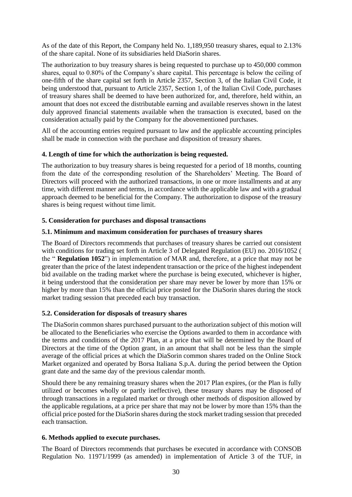As of the date of this Report, the Company held No. 1,189,950 treasury shares, equal to 2.13% of the share capital. None of its subsidiaries held DiaSorin shares.

The authorization to buy treasury shares is being requested to purchase up to 450,000 common shares, equal to 0.80% of the Company's share capital. This percentage is below the ceiling of one-fifth of the share capital set forth in Article 2357, Section 3, of the Italian Civil Code, it being understood that, pursuant to Article 2357, Section 1, of the Italian Civil Code, purchases of treasury shares shall be deemed to have been authorized for, and, therefore, held within, an amount that does not exceed the distributable earning and available reserves shown in the latest duly approved financial statements available when the transaction is executed, based on the consideration actually paid by the Company for the abovementioned purchases.

All of the accounting entries required pursuant to law and the applicable accounting principles shall be made in connection with the purchase and disposition of treasury shares.

#### **4. Length of time for which the authorization is being requested.**

The authorization to buy treasury shares is being requested for a period of 18 months, counting from the date of the corresponding resolution of the Shareholders' Meeting. The Board of Directors will proceed with the authorized transactions, in one or more installments and at any time, with different manner and terms, in accordance with the applicable law and with a gradual approach deemed to be beneficial for the Company. The authorization to dispose of the treasury shares is being request without time limit.

#### **5. Consideration for purchases and disposal transactions**

#### **5.1. Minimum and maximum consideration for purchases of treasury shares**

The Board of Directors recommends that purchases of treasury shares be carried out consistent with conditions for trading set forth in Article 3 of Delegated Regulation (EU) no. 2016/1052 ( the " **Regulation 1052**") in implementation of MAR and, therefore, at a price that may not be greater than the price of the latest independent transaction or the price of the highest independent bid available on the trading market where the purchase is being executed, whichever is higher, it being understood that the consideration per share may never be lower by more than 15% or higher by more than 15% than the official price posted for the DiaSorin shares during the stock market trading session that preceded each buy transaction.

#### **5.2. Consideration for disposals of treasury shares**

The DiaSorin common shares purchased pursuant to the authorization subject of this motion will be allocated to the Beneficiaries who exercise the Options awarded to them in accordance with the terms and conditions of the 2017 Plan, at a price that will be determined by the Board of Directors at the time of the Option grant, in an amount that shall not be less than the simple average of the official prices at which the DiaSorin common shares traded on the Online Stock Market organized and operated by Borsa Italiana S.p.A. during the period between the Option grant date and the same day of the previous calendar month.

Should there be any remaining treasury shares when the 2017 Plan expires, (or the Plan is fully utilized or becomes wholly or partly ineffective), these treasury shares may be disposed of through transactions in a regulated market or through other methods of disposition allowed by the applicable regulations, at a price per share that may not be lower by more than 15% than the official price posted for the DiaSorin shares during the stock market trading session that preceded each transaction.

#### **6. Methods applied to execute purchases.**

The Board of Directors recommends that purchases be executed in accordance with CONSOB Regulation No. 11971/1999 (as amended) in implementation of Article 3 of the TUF, in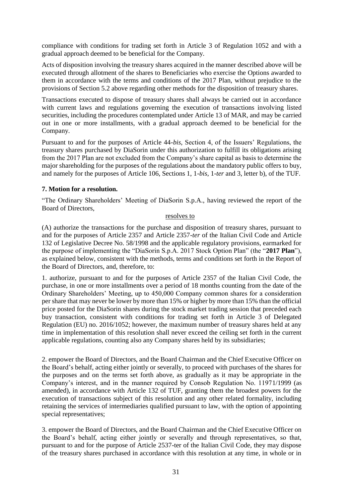compliance with conditions for trading set forth in Article 3 of Regulation 1052 and with a gradual approach deemed to be beneficial for the Company.

Acts of disposition involving the treasury shares acquired in the manner described above will be executed through allotment of the shares to Beneficiaries who exercise the Options awarded to them in accordance with the terms and conditions of the 2017 Plan, without prejudice to the provisions of Section 5.2 above regarding other methods for the disposition of treasury shares.

Transactions executed to dispose of treasury shares shall always be carried out in accordance with current laws and regulations governing the execution of transactions involving listed securities, including the procedures contemplated under Article 13 of MAR, and may be carried out in one or more installments, with a gradual approach deemed to be beneficial for the Company.

Pursuant to and for the purposes of Article 44-*bis*, Section 4, of the Issuers' Regulations, the treasury shares purchased by DiaSorin under this authorization to fulfill its obligations arising from the 2017 Plan are not excluded from the Company's share capital as basis to determine the major shareholding for the purposes of the regulations about the mandatory public offers to buy, and namely for the purposes of Article 106, Sections 1, 1-*bis*, 1-*ter* and 3, letter b), of the TUF.

#### **7. Motion for a resolution.**

"The Ordinary Shareholders' Meeting of DiaSorin S.p.A., having reviewed the report of the Board of Directors,

#### resolves to

(A) authorize the transactions for the purchase and disposition of treasury shares, pursuant to and for the purposes of Article 2357 and Article 2357-*ter* of the Italian Civil Code and Article 132 of Legislative Decree No. 58/1998 and the applicable regulatory provisions, earmarked for the purpose of implementing the "DiaSorin S.p.A. 2017 Stock Option Plan" (the "**2017 Plan**"), as explained below, consistent with the methods, terms and conditions set forth in the Report of the Board of Directors, and, therefore, to:

1. authorize, pursuant to and for the purposes of Article 2357 of the Italian Civil Code, the purchase, in one or more installments over a period of 18 months counting from the date of the Ordinary Shareholders' Meeting, up to 450,000 Company common shares for a consideration per share that may never be lower by more than 15% or higher by more than 15% than the official price posted for the DiaSorin shares during the stock market trading session that preceded each buy transaction, consistent with conditions for trading set forth in Article 3 of Delegated Regulation (EU) no. 2016/1052; however, the maximum number of treasury shares held at any time in implementation of this resolution shall never exceed the ceiling set forth in the current applicable regulations, counting also any Company shares held by its subsidiaries;

2. empower the Board of Directors, and the Board Chairman and the Chief Executive Officer on the Board's behalf, acting either jointly or severally, to proceed with purchases of the shares for the purposes and on the terms set forth above, as gradually as it may be appropriate in the Company's interest, and in the manner required by Consob Regulation No. 11971/1999 (as amended), in accordance with Article 132 of TUF, granting them the broadest powers for the execution of transactions subject of this resolution and any other related formality, including retaining the services of intermediaries qualified pursuant to law, with the option of appointing special representatives;

3. empower the Board of Directors, and the Board Chairman and the Chief Executive Officer on the Board's behalf, acting either jointly or severally and through representatives, so that, pursuant to and for the purpose of Article 2537-ter of the Italian Civil Code, they may dispose of the treasury shares purchased in accordance with this resolution at any time, in whole or in